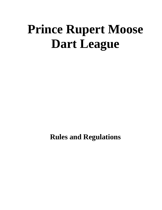# **Prince Rupert Moose Dart League**

**Rules and Regulations**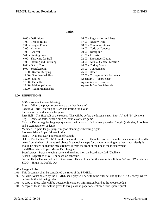#### **Index**

| 0.00 - Definitions            |
|-------------------------------|
| 1.00 - League Rules           |
| 2.00 - League Format          |
| 3.00 - Matches                |
| 4.00 - General                |
| 5.00 - Starting time          |
| 6.00 - Throwing for Bull      |
| 7.00 - Starting and Finishing |
| 8.00 - Out of Turn            |
| 9.00 - Scorekeeping           |
| 10.00 - Record Keeping        |
| 11.00 - Shorthanded Play      |
| $12.00 - Spares$              |
| 13.00 - Defaults              |
| 14.00 - Make-up Games         |
| 15.00 - Team Membership       |
|                               |

#### 16.00 - Registration and Fees 17.00 - Nightly Dues 18.00 - Communications 19.00 - Code of Conduct 20.00 - Discipline 21.00 - Protests 22.00 - Executives Duties 23.00 - Annual General Meeting 24.00 - Turkey Shoot 25.00 - Tournaments 26.00 - Other 27.00 - Changes to this document Appendix 1 – Score Sheet Appendix 2 – Executive

Appendix 3 – Fee Schedule

#### **0.00 - DEFINITIONS**

AGM - Annual General Meeting

Bust – When the player scores more than they have left.

Executive Term - Starting at AGM and lasting for 1 year.

Finish – A throw that ends the game

First Half – The first half of the season. This will be before the league is split into "A" and "B" divisions Leg – 1 game of darts, either a singles, doubles or team game

Match – During regular league play a match will consist of all games played on 1 night (4 singles, 4 doubles and 3 team game or 11 legs)

Member – A paid league player in good standing with voting rights.

Moose – Prince Rupert Moose Lodge

NDFC – National Dart Federation of Canada

Oche – The toe line 7' 9 ¾" from the face of the board. If the oche is raised, then the measurement should be taken from the back of the raised object. If the oche is tape (or paint or anything else that is not raised), it should be placed so that the measurement is from the front of the line is the measurement.

PRMDL – Prince Rupert Moose Dart League

Scorekeeper – Person keeping score and marking it on the board provided (Chalker)

Season - Sept 01 to May 31 or based on schedule

Second Half - The second half of the season. This will be after the league is split into "A" and "B" divisions SIDO – Single In, Double Out

# **1.00 - League Rules**

- 1.01 This document shall be considered the rules of the PRMDL.
- 1.02 All dart events hosted by the PRMDL shall play will be within the rules set out by the NDFC, except where defined in the following rules.
- 1.03 A copy of these rules will be posted online and on information board at the Moose Lodge
- 1.04 A copy of these rules will be given to any player in paper or electronic form upon request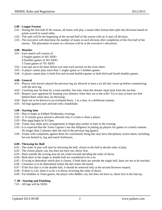#### **2.00 - League Format**

- 2.01 During the first half of the season, all teams will play a round robin format then split into divisions based on points scored in round robin.
- 2.02 This split will be the beginning of the second half of the season with an A and a B division.
- 2.03 The executive will determine the number of teams in each division after completion of the first half of the season. The placement of teams in a division will be at the executive's discretion.

#### **3.00 - Matches**

- 3.01 Each match will consist of:
	- 4 Singles games of 401 SIDO
	- 4 Doubles games of 501 SIDO
	- 3 Team games of 701 SIDO
- 3.02 Line-ups are to be done before you start each section on the score sheet.
- 3.03 A player cannot play more than 1 singles game or 2 doubles games.
- 3.04 A player cannot play in both first and second doubles games or both third and fourth doubles games.

#### **4.00 - General**

- 4.01 Players who haven't played the previous leg are allowed at least a six (6) dart warm up before commencing with the next leg.
- 4.02 Coaching may be done by a team member, but only when the shooter steps back from the toe-line.
- 4.03 Respect your opponent by keeping your distance when they are at the oche! Try to stay at least two feet behind them while they are throwing.
- 4.04 Darts are to be thrown in an overhand throw, 1 at a time, in a deliberate manner.
- 4.05 All legs (games) start and end with a handshake.

# **5.00 - Starting time**

- 5.01 Play to begin at 8:00pm Wednesday evenings.
- 5.02 A 15 minute grace period is allowed only if a team is short a player.
- 5.03 Play must begin by 8:15pm.
- 5.04 Teams may make prior arrangements to begin play earlier or later in the evening.
- 5.05 It is expected that the Team Captain's use due diligence in putting up players for games in a timely manner. No longer than 2 minutes after the end of the previous leg (game).
- 5.06 Teams with complaints against them for consistently being late may have disciplinary action taken, including, but not limited to, leg and match forfeitures.

# **6.00 - Throwing for Bull**

- 6.01 The order of play will start by throwing the bull, closest to the bull to decide order of play.
- 6.02 The closest player can, but does not have too, throw first.
- 6.03 Darts outside the scoring area do not count towards deciding the order of throw.
- 6.04 Both darts in the single or double bull are considered to be a tie.
- 6.05 If trying to determine which dart is closest, if both darts are outside the single bull, darts are not to be touched.
- 6.06 Closeness is to be determined where the dart enters the board.
- 6.07 If the first dart is in the double bull, it should be removed only at the second throwers request.
- 6.08 If there is a tie, there is to be a re-throw reversing the order of throw.
- 6.09 For Doubles or Team games, the player who diddles can, but does not have to, shoot first in the line-up.

# **7. 00 - Starting and Finishing**

7.01 - All legs will be SIDO.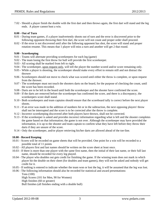7.02 - Should a player finish the double with the first dart and then throws again, the first dart will stand and the leg ends. A player cannot bust a win.

### **8.00 - Out of Turn**

- 8.01 During team games, if a player inadvertently shoots out of turn and the error is discovered prior to the following opponent throwing their first dart, the score will not count and proper order shall proceed.
- 8.02 If the error is not discovered until after the following opponent has shot, the score will stand and proper rotation resume. This means that 1 player will miss a turn and another will get 2 that round.

#### **9.00 - Scorekeeping**

- 9.01 Teams will alternate providing scorekeepers for each leg (game)
- 9.02 The team losing the first throw for bull will provide the first scorekeeper.
- 9.03 All scoring shall be marked from left to right.
- 9.04 The scorekeeper, upon request only, will tell the player the number scored and/or score remaining only.
- 9.05 While a player is shooting, the scorekeeper should make every effort to remain still and not distract the thrower
- 9.06 Scorekeepers should not move to check what was scored until either the throw is complete, or upon request from the thrower.
- 9.07 The scorekeeper must not touch the shooters darts on the board, for the purpose of checking the count, until the score has been recorded.
- 9.08 Darts are to be left in the board until both the scorekeeper and the shooter have confirmed the score.
- 9.09 If the darts are removed before the scorekeeper has confirmed the score, and there is a discrepancy, the scorekeepers score shall stand.
- 9.10 Both scorekeepers and team captains should ensure that the scoreboard tally is correct before the next player shoots.
- 9.11 If an error was made in the addition of numbers hit or in the subtraction, the next opposing players' throw shall not be interrupted and the score is to be corrected after the throw is complete.
- 9.12 Incorrect scorekeeping discovered after both players have thrown, shall not be corrected.
- 9.13 If the scorekeeper is asked and provides incorrect information regarding what is left and the shooter completes the game based on that information; the game is not over. Although the scorekeeper may have provided the information, it is up to the shooter and team captain to confirm what they have left before they throw their darts if they are unsure of the score.
- 9.14 Only the scorekeeper, and/or player retrieving his/her darts are allowed ahead of the toe-line.

# **10.00 - Record Keeping**

- 10.01 Scores will be recorded on game sheets that will be provided. One point for a win will be recorded to a possible total of 11 points
- 10.02 All players first and last names should be written on the score sheet at least once.
- 10.03 If there is more than one player with the same first name, then the initial of their last name, or their full last name, should be recorded for every leg played.
- 10.04 The player who doubles out gets credit for finishing the game. If the winning team does not mark in which player hit the double on their sheet (for doubles and team games), they will not be asked and nobody will get credit for it.
- 10.05 If nothing is entered to indicate whether the team won or lost the leg, it will be assumed that the leg was lost.
- 10.06 The following information should also be recorded for statistical and award presentations: Tons (100)

High Scores (101 for Men, 90 for Women) High finishes (60 or greater) Bull finishes (all finishes ending with a double bull)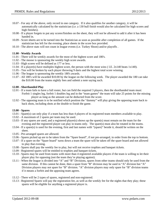- 10.07 For any of the above, only record in one category. If it also qualifies for another category, it will be automatically calculated by the statistician (i.e. a 130 bull finish would also be calculated for high scores and high finishes).
- 10.08 If a player forgets to put any scores/finishes on the sheet, they will not be allowed to add it after it has been handed in.
- 10.09 Score sheets are to be turned into the Statistician as soon as possible after completion of all games. If the statistician has left for the evening, place sheets in the score box provided.
- 10.10 The above stats will not count in league events (i.e. Turkey Shoot) and/or playoffs .

### **11.00 - Weekly Awards**

- 11.01 There will be weekly awards for the most of the highest score and 180's.
- 11.02 The moose is sponsoring the weekly high score awards.
- 11.03 High scores will be defined as 177 or less.
- 11.04 If a player(s) have multiples highest score, the person with the most wins ( I.E. 2x140 beats 1x140).
- 11.05 Ties will be broken by each player throwing 9 darts and the highest total score winning.
- 11.06 The league is sponsoring the weekly 180's awards.
- 11.07 All 180's will be awarded \$10.00 by the league on the following week. The player awarded the 180 can take the \$10.00 from the teams nightly fees and submit a note saying such.

#### **12.00 - Shorthanded Play**

- 12.01 If a team fails to have a full roster, but can field the required 3 players, then the shorthanded team must: Forfeit 1 singles leg, forfeit 1 doubles leg and in the "team games" the team will take 25 points for the missing player as long as the amount can be deducted from the score.
- 12.02 The opposing team is to be notified which position the "dummy" will play giving the opposing team back to back shots, including shots at the double to finish the game.

#### **13.00 - Spares**

- 13.01 Spare(s) can only play if a team has less than 4 players of its registered team members available to play.
- 13.02 A maximum of 2 spares per team may be used.
- 13.03 If any spares are used, and a registered player(s) shows up the spare(s) must remain on the team for the evening and the registered player can play in teams only. The spare(s) must also be rotated in the teams.
- 13.04 If a spare(s) is used for the evening, first and last names with "(spare)" beside it, should be written on the sheet.
- 13.05 Pre-arranged spares are allowed.
- 13.06 Spares picked up are to be taken from the "Spare board", if not pre-arranged, in order from the top to bottom.
- 13.07 If a spare on the "Spare board" turns down a team the spare will be taken off the spare board and not allowed to play that evening.
- 13.08 Spares shall pay the weekly fee to play, but will not receive trophies and banquet tickets.
- 13.09 Registered spares will be entitled to trophies and banquet tickets.
- 13.10 Spares may be used from teams with more than 4 registered available players if the team is willing to let their player play for opposing (not the team they're playing against).
- 13.11 When the league is divided into "A" and "B" Divisions, spares from other teams should only be used from the same division. If this cannot be done, then a spare from "B" division may be used in "A" division but "A" Division players may not spare for "B" division. "A" division players may only spare for "B" division teams if it means a forfeit and the apposing team agrees.
- 13.12 There will be 2 types of spares, registered and non-registered.
- 13.13 Registered Spares will pay the registration fee, as well as the weekly fee for the nights that they play; these spares will be eligible for anything a registered player is.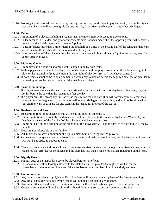13.14 - Non-registered spares do not have to pay the registration fee, but do have to pay the weekly fee on the nights that they play and will not be eligible for any awards, door prizes, the banquet, or any other privileges.

# **14.00 - Defaults**

- 14.01- A minimum of 3 players including 2 regular team members must be present in order to play.
- 14.02- If a team cannot be fielded, and prior arrangements have not been made, then the opposing team will receive 9 points, and the forfeiting team will receive 0 points.
- 14.03- If a team forfeits more than 3 times during the first half or 3 times in the second half of the schedule, that team will be taken off the schedule for the remainder of the year.
- 14.04- If a team is taken off the schedule the schedule will be amended giving all teams 0 points and a bye, even for games already played.

#### **15.00 - Make-up Games**

- 15.01 Team play can be done on another night if agreed upon by both teams.
- 15.02 Make-up games will have to be played before the regular night of play 3 weeks after the scheduled night of play, or the last night of play (including the last night of play for first half), whichever comes first.
- 15.03 If both teams cannot come to an agreement on which day to play on before the required date, the original team requesting to re-schedule will default if the match is not played.

#### **16.00 - Team Membership**

- 16.01 If a player wants to leave the team that they originally registered with and go play for another team, they must do this before the date that the registration fees are due.
- 16.02 If a player quits their team any time after the registration fee due date, they will forfeit any money that they have put into the league up to that point as well as any privileges that go with it, and will not be allowed to join another team or to spare for any teams in the league for the rest of the season.

#### **17.00 - Registration and Fees**

- 17.01 Registration fees for all league events will be as outlines in Appendix 3.
- 17.02 Team registration fees are to be paid as a team, and must be paid to the treasurer by the last Wednesday in October or the end of the first half of the schedule, whichever comes first.
- 17.03 Teams not paid at the beginning of the night on of the above date will not be allowed to play and will lose by default.
- 17.04 Dues are not refundable or transferable.
- 17.05 All Teams are to have a minimum of 4 up to a maximum of 7 "Registered" players.
- 17.06 Games won by players who are registered, but haven't paid their registration fees, will be declared void and the win will be awarded to apposing team.
- 17.06 There will be no new additions allowed to team rosters after the date that the registration fees are due, unless, a registered player(s) leaves the league and the team has less than 4 registered players remaining on the team.

# **18.00 - Nightly Dues**

- 18.01 Nightly dues as per appendix 3 are to be played before start of play.
- 18.02 The above rule will be loosely enforced to facilitate the start of play for the night, as well as for the convenience of the treasurer, however if there are issues collecting fees, it will be strictly enforced.

#### **19.00 - Communications**

- 19.01 Any team and/or player supplying an E-mail address will receive regular updates of the League standings.
- 19.02 Any email addresses acquired by the league will not be distributed in any manner.
- 19.03 Any emails that are addressed to multiple recipients will be blind carbon copied to hide the addresses.
- 19.04 Contact information will not be sold or distributed for any reason to any person or organization.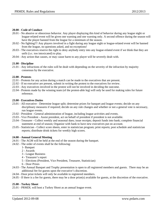#### **20.00 - Code of Conduct**

- 20.01 No abusive or obnoxious behavior. Any player displaying this kind of behavior during any league night or league-related event will be given one warning and one warning only. A second offence during the season will have the player banned from the league for a minimum of the season.
- 20.02 No fighting!!! Any players involved in a fight during any league night or league-related event will be banned from the league, no questions asked, and no exceptions!
- 20.03 The executives reserve the right to deny anybody entry into any league-related event if we think that they are unfit (i.e.: too intoxicated) to play.
- 20.04 Any action that causes, or may cause harm to any player will be severely dealt with.

# **21.00 - Discipline**

21.01 - Any infractions of the rules will be dealt with depending on the severity of the infraction by majority consensus by the executive.

#### **22.00 - Protests**

- 22.01 Protests for any action during a match can be made to the executives that are present.
- 22.02 If no executive are present, submit in writing the protest to the executives for review.
- 22.03 Any executives involved in the protest will not be involved in deciding the outcome.
- 22.04 Protests made by the winning team (of the protest-able leg) will only be used for making rules for future reference.

#### **23.00 - Executives Duties**

- 23.01 All executive Determine league split; determine prizes for banquet and league events; decide on any disciplinary measures if required; decide on any rule changes and whether or not a general vote is necessary, run league events.
- 23.02 President General administration of league, including league activities and events.
- 23.03 Vice President Assist president, act on behalf of president if president is not available.
- 23.04 Treasurer Collect weekly and seasonal dues; issue receipts; deposit funds into bank; complete financial statement at end of season; Organize with bank to have new executives put on account.
- 23.05 Statistician Collect score sheets, enter in statistician program; print reports; post schedule and statistician reports; distribute drink tickets for weekly high scores.

#### **24.00 - Annual General Meeting**

- 24.01 The AGM will be held at the end of the season during the banquet.
- 24.02 The order of events shall be the following:
	- 1- Banquet
	- 2 Awards
	- 3 League Business
	- 4 Treasurer's report
	- 5 Elections (President, Vice President, Treasurer, Statistician)
	- 6 Door Prizes
- 24.03 The Annual Banquet and Trophy presentation is open to all registered members and guests. There may be an additional fee for guests upon the executive's discretion.
- 24.04 Door prize tickets will only be available to registered members.
- 24.05 If there is a fee for guests, there may be a door prize(s) available for guests, at the discretion of the executive.

# **25.00 - Turkey Shoot**

25.01 - PRMDL will host a Turkey Shoot as an annual league event.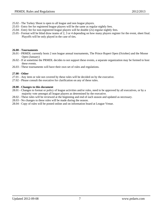- 25.02 The Turkey Shoot is open to all league and non league players.
- 25.03 Entry fee for registered league players will be the same as regular nightly fees.
- 25.04 Entry fee for non-registered league players will be double (2x) regular nightly fees.
- 25.05 Format will be blind draw teams of 2, 3 or 4 depending on how many players register for the event, sheet final. Playoffs will be only played in the case of ties.

#### **26.00 - Tournaments**

- 26.01 PRMDL currently hosts 2 non league annual tournaments, The Prince Rupert Open (October) and the Moose Open (January)
- 26.02 If at sometime the PRMDL decides to not support these events, a separate organization may be formed to host these events.
- 26.03 These tournaments will have their own set of rules and regulations.

#### **27.00 - Other**

- 27.01 Any item or rule not covered by these rules will be decided on by the executive.
- 27.02 Please consult the executive for clarification on any of these rules.

#### **28.00 - Changes to this document**

- 28.01 Changes to format or policy of league activities and/or rules, need to be approved by all executives, or by a majority vote amongst all league players as determined by the executive.
- 28.02 These rules will be reviewed at the beginning and end of each season and updated as necessary.
- 28.03 No changes to these rules will be made during the season.
- 28.04 Copy of rules will be posted online and on information board at League Venue.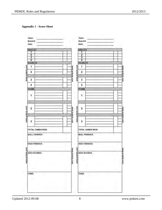# **Appendix 1 - Score Sheet**